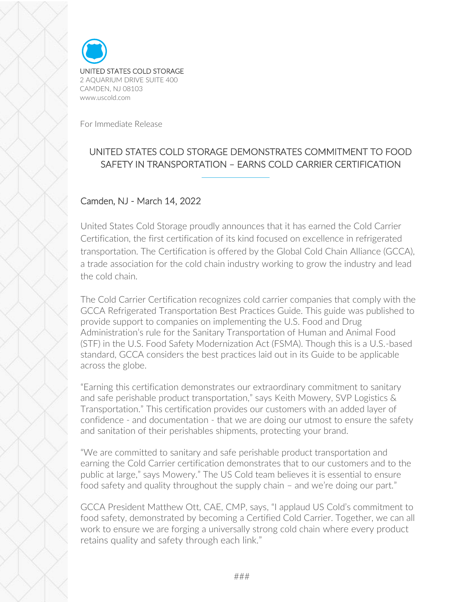

For Immediate Release

## UNITED STATES COLD STORAGE DEMONSTRATES COMMITMENT TO FOOD SAFETY IN TRANSPORTATION – EARNS COLD CARRIER CERTIFICATION

## Camden, NJ - March 14, 2022

United States Cold Storage proudly announces that it has earned the Cold Carrier Certification, the first certification of its kind focused on excellence in refrigerated transportation. The Certification is offered by the Global Cold Chain Alliance (GCCA), a trade association for the cold chain industry working to grow the industry and lead the cold chain.

The Cold Carrier Certification recognizes cold carrier companies that comply with the GCCA Refrigerated Transportation Best Practices Guide. This guide was published to provide support to companies on implementing the U.S. Food and Drug Administration's rule for the Sanitary Transportation of Human and Animal Food (STF) in the U.S. Food Safety Modernization Act (FSMA). Though this is a U.S.-based standard, GCCA considers the best practices laid out in its Guide to be applicable across the globe.

"Earning this certification demonstrates our extraordinary commitment to sanitary and safe perishable product transportation," says Keith Mowery, SVP Logistics & Transportation." This certification provides our customers with an added layer of confidence - and documentation - that we are doing our utmost to ensure the safety and sanitation of their perishables shipments, protecting your brand.

"We are committed to sanitary and safe perishable product transportation and earning the Cold Carrier certification demonstrates that to our customers and to the public at large," says Mowery." The US Cold team believes it is essential to ensure food safety and quality throughout the supply chain – and we're doing our part."

GCCA President Matthew Ott, CAE, CMP, says, "I applaud US Cold's commitment to food safety, demonstrated by becoming a Certified Cold Carrier. Together, we can all work to ensure we are forging a universally strong cold chain where every product retains quality and safety through each link."